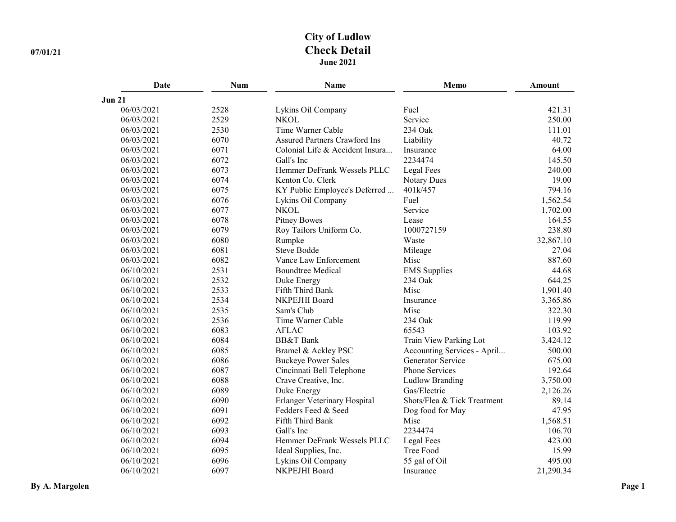# **City of Ludlow 07/01/21 Check Detail June 2021**

| Date          | Num  | Name                                 | Memo                        | <b>Amount</b> |
|---------------|------|--------------------------------------|-----------------------------|---------------|
| <b>Jun 21</b> |      |                                      |                             |               |
| 06/03/2021    | 2528 | Lykins Oil Company                   | Fuel                        | 421.31        |
| 06/03/2021    | 2529 | <b>NKOL</b>                          | Service                     | 250.00        |
| 06/03/2021    | 2530 | Time Warner Cable                    | 234 Oak                     | 111.01        |
| 06/03/2021    | 6070 | <b>Assured Partners Crawford Ins</b> | Liability                   | 40.72         |
| 06/03/2021    | 6071 | Colonial Life & Accident Insura      | Insurance                   | 64.00         |
| 06/03/2021    | 6072 | Gall's Inc                           | 2234474                     | 145.50        |
| 06/03/2021    | 6073 | Hemmer DeFrank Wessels PLLC          | Legal Fees                  | 240.00        |
| 06/03/2021    | 6074 | Kenton Co. Clerk                     | <b>Notary Dues</b>          | 19.00         |
| 06/03/2021    | 6075 | KY Public Employee's Deferred        | 401k/457                    | 794.16        |
| 06/03/2021    | 6076 | Lykins Oil Company                   | Fuel                        | 1,562.54      |
| 06/03/2021    | 6077 | <b>NKOL</b>                          | Service                     | 1,702.00      |
| 06/03/2021    | 6078 | <b>Pitney Bowes</b>                  | Lease                       | 164.55        |
| 06/03/2021    | 6079 | Roy Tailors Uniform Co.              | 1000727159                  | 238.80        |
| 06/03/2021    | 6080 | Rumpke                               | Waste                       | 32,867.10     |
| 06/03/2021    | 6081 | <b>Steve Bodde</b>                   | Mileage                     | 27.04         |
| 06/03/2021    | 6082 | Vance Law Enforcement                | Misc                        | 887.60        |
| 06/10/2021    | 2531 | <b>Boundtree Medical</b>             | <b>EMS</b> Supplies         | 44.68         |
| 06/10/2021    | 2532 | Duke Energy                          | 234 Oak                     | 644.25        |
| 06/10/2021    | 2533 | Fifth Third Bank                     | Misc                        | 1,901.40      |
| 06/10/2021    | 2534 | NKPEJHI Board                        | Insurance                   | 3,365.86      |
| 06/10/2021    | 2535 | Sam's Club                           | Misc                        | 322.30        |
| 06/10/2021    | 2536 | Time Warner Cable                    | 234 Oak                     | 119.99        |
| 06/10/2021    | 6083 | <b>AFLAC</b>                         | 65543                       | 103.92        |
| 06/10/2021    | 6084 | <b>BB&amp;T</b> Bank                 | Train View Parking Lot      | 3,424.12      |
| 06/10/2021    | 6085 | Bramel & Ackley PSC                  | Accounting Services - April | 500.00        |
| 06/10/2021    | 6086 | <b>Buckeye Power Sales</b>           | <b>Generator Service</b>    | 675.00        |
| 06/10/2021    | 6087 | Cincinnati Bell Telephone            | Phone Services              | 192.64        |
| 06/10/2021    | 6088 | Crave Creative, Inc.                 | <b>Ludlow Branding</b>      | 3,750.00      |
| 06/10/2021    | 6089 | Duke Energy                          | Gas/Electric                | 2,126.26      |
| 06/10/2021    | 6090 | Erlanger Veterinary Hospital         | Shots/Flea & Tick Treatment | 89.14         |
| 06/10/2021    | 6091 | Fedders Feed & Seed                  | Dog food for May            | 47.95         |
| 06/10/2021    | 6092 | Fifth Third Bank                     | Misc                        | 1,568.51      |
| 06/10/2021    | 6093 | Gall's Inc                           | 2234474                     | 106.70        |
| 06/10/2021    | 6094 | Hemmer DeFrank Wessels PLLC          | Legal Fees                  | 423.00        |
| 06/10/2021    | 6095 | Ideal Supplies, Inc.                 | Tree Food                   | 15.99         |
| 06/10/2021    | 6096 | Lykins Oil Company                   | 55 gal of Oil               | 495.00        |
| 06/10/2021    | 6097 | NKPEJHI Board                        | Insurance                   | 21,290.34     |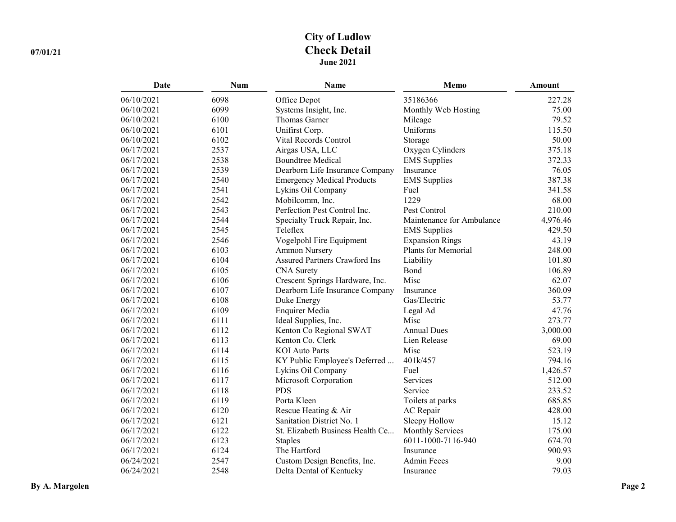# **City of Ludlow 07/01/21 Check Detail June 2021**

| Date       | <b>Num</b> | Name                                 | Memo                      | <b>Amount</b> |
|------------|------------|--------------------------------------|---------------------------|---------------|
| 06/10/2021 | 6098       | Office Depot                         | 35186366                  | 227.28        |
| 06/10/2021 | 6099       | Systems Insight, Inc.                | Monthly Web Hosting       | 75.00         |
| 06/10/2021 | 6100       | Thomas Garner                        | Mileage                   | 79.52         |
| 06/10/2021 | 6101       | Unifirst Corp.                       | Uniforms                  | 115.50        |
| 06/10/2021 | 6102       | Vital Records Control                | Storage                   | 50.00         |
| 06/17/2021 | 2537       | Airgas USA, LLC                      | Oxygen Cylinders          | 375.18        |
| 06/17/2021 | 2538       | <b>Boundtree Medical</b>             | <b>EMS</b> Supplies       | 372.33        |
| 06/17/2021 | 2539       | Dearborn Life Insurance Company      | Insurance                 | 76.05         |
| 06/17/2021 | 2540       | <b>Emergency Medical Products</b>    | <b>EMS</b> Supplies       | 387.38        |
| 06/17/2021 | 2541       | Lykins Oil Company                   | Fuel                      | 341.58        |
| 06/17/2021 | 2542       | Mobilcomm, Inc.                      | 1229                      | 68.00         |
| 06/17/2021 | 2543       | Perfection Pest Control Inc.         | Pest Control              | 210.00        |
| 06/17/2021 | 2544       | Specialty Truck Repair, Inc.         | Maintenance for Ambulance | 4,976.46      |
| 06/17/2021 | 2545       | Teleflex                             | <b>EMS</b> Supplies       | 429.50        |
| 06/17/2021 | 2546       | Vogelpohl Fire Equipment             | <b>Expansion Rings</b>    | 43.19         |
| 06/17/2021 | 6103       | <b>Ammon Nursery</b>                 | Plants for Memorial       | 248.00        |
| 06/17/2021 | 6104       | <b>Assured Partners Crawford Ins</b> | Liability                 | 101.80        |
| 06/17/2021 | 6105       | <b>CNA</b> Surety                    | Bond                      | 106.89        |
| 06/17/2021 | 6106       | Crescent Springs Hardware, Inc.      | Misc                      | 62.07         |
| 06/17/2021 | 6107       | Dearborn Life Insurance Company      | Insurance                 | 360.09        |
| 06/17/2021 | 6108       | Duke Energy                          | Gas/Electric              | 53.77         |
| 06/17/2021 | 6109       | Enquirer Media                       | Legal Ad                  | 47.76         |
| 06/17/2021 | 6111       | Ideal Supplies, Inc.                 | Misc                      | 273.77        |
| 06/17/2021 | 6112       | Kenton Co Regional SWAT              | <b>Annual Dues</b>        | 3,000.00      |
| 06/17/2021 | 6113       | Kenton Co. Clerk                     | Lien Release              | 69.00         |
| 06/17/2021 | 6114       | <b>KOI</b> Auto Parts                | Misc                      | 523.19        |
| 06/17/2021 | 6115       | KY Public Employee's Deferred        | 401k/457                  | 794.16        |
| 06/17/2021 | 6116       | Lykins Oil Company                   | Fuel                      | 1,426.57      |
| 06/17/2021 | 6117       | Microsoft Corporation                | Services                  | 512.00        |
| 06/17/2021 | 6118       | <b>PDS</b>                           | Service                   | 233.52        |
| 06/17/2021 | 6119       | Porta Kleen                          | Toilets at parks          | 685.85        |
| 06/17/2021 | 6120       | Rescue Heating & Air                 | AC Repair                 | 428.00        |
| 06/17/2021 | 6121       | Sanitation District No. 1            | Sleepy Hollow             | 15.12         |
| 06/17/2021 | 6122       | St. Elizabeth Business Health Ce     | <b>Monthly Services</b>   | 175.00        |
| 06/17/2021 | 6123       | <b>Staples</b>                       | 6011-1000-7116-940        | 674.70        |
| 06/17/2021 | 6124       | The Hartford                         | Insurance                 | 900.93        |
| 06/24/2021 | 2547       | Custom Design Benefits, Inc.         | <b>Admin Feees</b>        | 9.00          |
| 06/24/2021 | 2548       | Delta Dental of Kentucky             | Insurance                 | 79.03         |